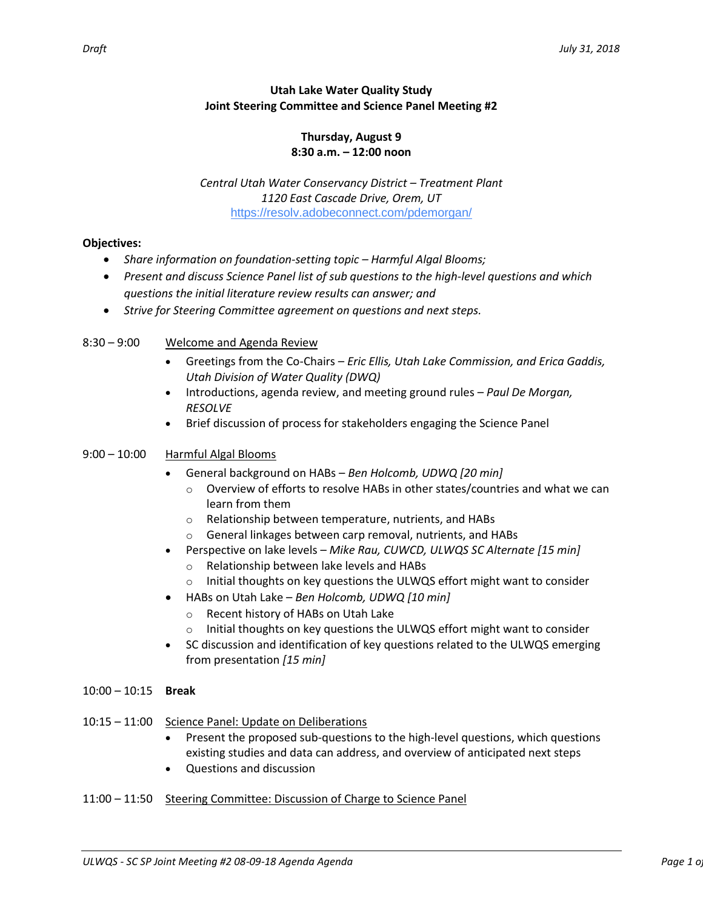# **Utah Lake Water Quality Study Joint Steering Committee and Science Panel Meeting #2**

#### **Thursday, August 9 8:30 a.m. – 12:00 noon**

*Central Utah Water Conservancy District – Treatment Plant 1120 East Cascade Drive, Orem, UT* [https://resolv.adobeconnect.com/pdemorgan/](https://www.google.com/url?q=https%3A%2F%2Fresolv.adobeconnect.com%2Fpdemorgan%2F&sa=D&ust=1533998839692000&usg=AFQjCNGwekiRcTGPq9PSQbShFX9nd85BqQ)

# **Objectives:**

- *Share information on foundation-setting topic – Harmful Algal Blooms;*
- *Present and discuss Science Panel list of sub questions to the high-level questions and which questions the initial literature review results can answer; and*
- *Strive for Steering Committee agreement on questions and next steps.*

## 8:30 – 9:00 Welcome and Agenda Review

- Greetings from the Co-Chairs *Eric Ellis, Utah Lake Commission, and Erica Gaddis, Utah Division of Water Quality (DWQ)*
- Introductions, agenda review, and meeting ground rules *Paul De Morgan, RESOLVE*
- Brief discussion of process for stakeholders engaging the Science Panel

## 9:00 – 10:00 Harmful Algal Blooms

- General background on HABs *Ben Holcomb, UDWQ [20 min]*
	- o Overview of efforts to resolve HABs in other states/countries and what we can learn from them
	- o Relationship between temperature, nutrients, and HABs
	- o General linkages between carp removal, nutrients, and HABs
- Perspective on lake levels *Mike Rau, CUWCD, ULWQS SC Alternate [15 min]*
	- o Relationship between lake levels and HABs
	- $\circ$  Initial thoughts on key questions the ULWQS effort might want to consider
- HABs on Utah Lake *Ben Holcomb, UDWQ [10 min]*
	- o Recent history of HABs on Utah Lake
	- $\circ$  Initial thoughts on key questions the ULWQS effort might want to consider
- SC discussion and identification of key questions related to the ULWQS emerging from presentation *[15 min]*

#### 10:00 – 10:15 **Break**

- 10:15 11:00 Science Panel: Update on Deliberations
	- Present the proposed sub-questions to the high-level questions, which questions existing studies and data can address, and overview of anticipated next steps
	- Questions and discussion

#### 11:00 – 11:50 Steering Committee: Discussion of Charge to Science Panel